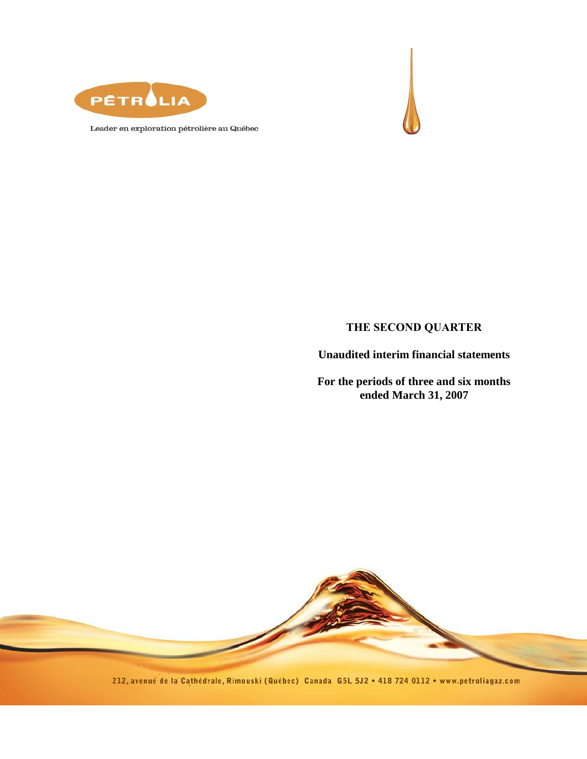



Leader en exploration pétrolière au Québec

## **THE SECOND QUARTER**

**Unaudited interim financial statements** 

**For the periods of three and six months ended March 31, 2007**



212, avenue de la Cathédrale, Rimouski (Québec) Canada G5L 5J2 . 418 724 0112 . www.petroliagaz.com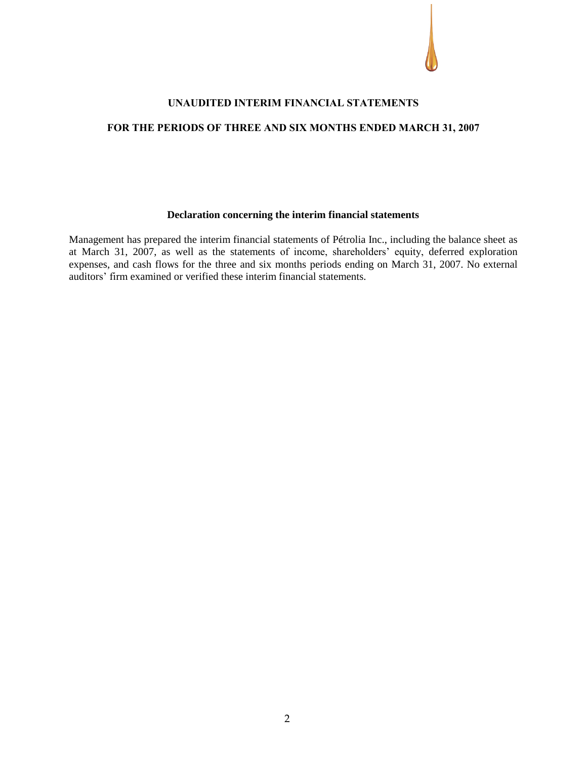

#### **UNAUDITED INTERIM FINANCIAL STATEMENTS**

## **FOR THE PERIODS OF THREE AND SIX MONTHS ENDED MARCH 31, 2007**

#### **Declaration concerning the interim financial statements**

Management has prepared the interim financial statements of Pétrolia Inc., including the balance sheet as at March 31, 2007, as well as the statements of income, shareholders' equity, deferred exploration expenses, and cash flows for the three and six months periods ending on March 31, 2007. No external auditors' firm examined or verified these interim financial statements.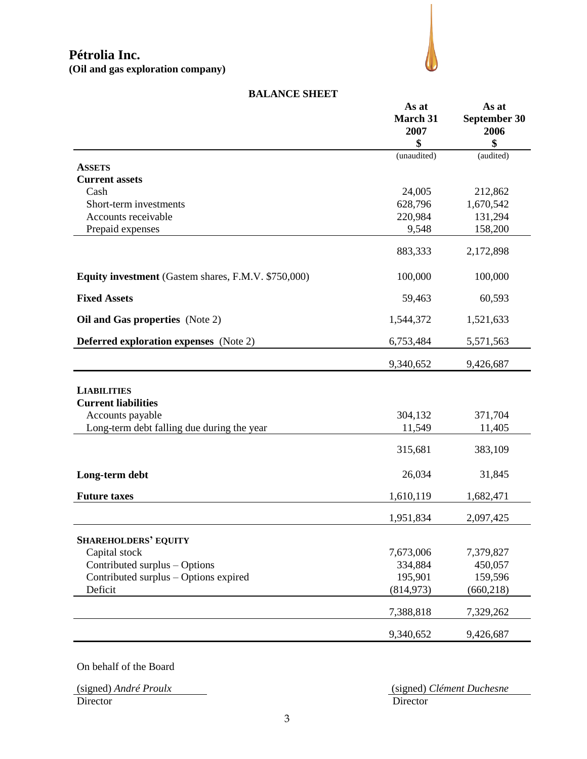

|                                                            | As at<br><b>March 31</b><br>2007 | As at<br>September 30<br>2006 |
|------------------------------------------------------------|----------------------------------|-------------------------------|
|                                                            | \$                               | \$                            |
|                                                            | (unaudited)                      | (audited)                     |
| <b>ASSETS</b>                                              |                                  |                               |
| <b>Current assets</b>                                      |                                  |                               |
| Cash                                                       | 24,005                           | 212,862                       |
| Short-term investments                                     | 628,796                          | 1,670,542                     |
| Accounts receivable                                        | 220,984                          | 131,294                       |
| Prepaid expenses                                           | 9,548                            | 158,200                       |
|                                                            | 883,333                          | 2,172,898                     |
| <b>Equity investment</b> (Gastem shares, F.M.V. \$750,000) | 100,000                          | 100,000                       |
| <b>Fixed Assets</b>                                        | 59,463                           | 60,593                        |
| Oil and Gas properties (Note 2)                            | 1,544,372                        | 1,521,633                     |
| <b>Deferred exploration expenses</b> (Note 2)              | 6,753,484                        | 5,571,563                     |
|                                                            | 9,340,652                        | 9,426,687                     |
| <b>LIABILITIES</b>                                         |                                  |                               |
| <b>Current liabilities</b>                                 |                                  |                               |
| Accounts payable                                           | 304,132                          | 371,704                       |
| Long-term debt falling due during the year                 | 11,549                           | 11,405                        |
|                                                            | 315,681                          | 383,109                       |
| Long-term debt                                             | 26,034                           | 31,845                        |
| <b>Future taxes</b>                                        | 1,610,119                        | 1,682,471                     |
|                                                            | 1,951,834                        | 2,097,425                     |
| <b>SHAREHOLDERS' EQUITY</b>                                |                                  |                               |
| Capital stock                                              | 7,673,006                        | 7,379,827                     |
| Contributed surplus - Options                              | 334,884                          | 450,057                       |
| Contributed surplus - Options expired                      | 195,901                          | 159,596                       |
| Deficit                                                    | (814, 973)                       | (660, 218)                    |
|                                                            | 7,388,818                        | 7,329,262                     |

#### **BALANCE SHEET**

On behalf of the Board

Director Director Director

(signed) *André Proulx* (signed) *Clément Duchesne*

9,340,652 9,426,687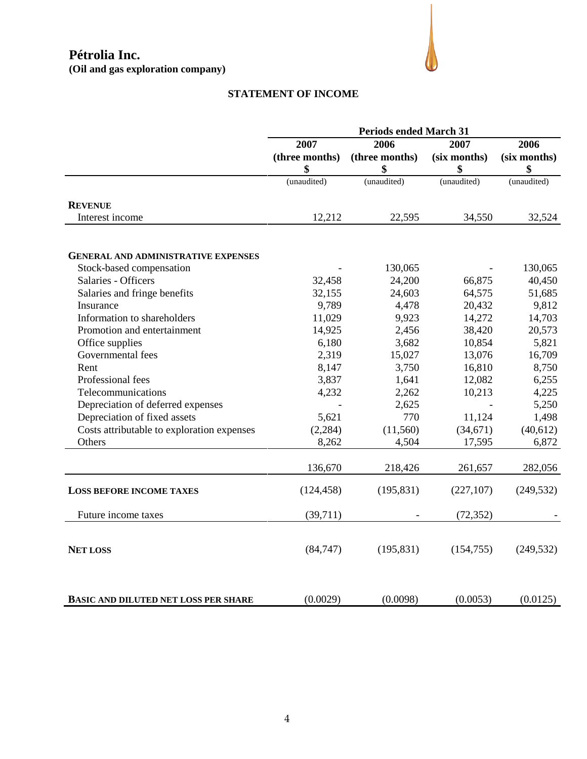

# **STATEMENT OF INCOME**

|                                             | <b>Periods ended March 31</b> |                |              |              |
|---------------------------------------------|-------------------------------|----------------|--------------|--------------|
|                                             | 2007                          | 2006           | 2007         | 2006         |
|                                             | (three months)                | (three months) | (six months) | (six months) |
|                                             | \$                            | \$             | \$           | \$           |
|                                             | (unaudited)                   | (unaudited)    | (unaudited)  | (unaudited)  |
| <b>REVENUE</b>                              |                               |                |              |              |
| Interest income                             | 12,212                        | 22,595         | 34,550       | 32,524       |
|                                             |                               |                |              |              |
| <b>GENERAL AND ADMINISTRATIVE EXPENSES</b>  |                               |                |              |              |
| Stock-based compensation                    |                               | 130,065        |              | 130,065      |
| Salaries - Officers                         | 32,458                        | 24,200         | 66,875       | 40,450       |
| Salaries and fringe benefits                | 32,155                        | 24,603         | 64,575       | 51,685       |
| Insurance                                   | 9,789                         | 4,478          | 20,432       | 9,812        |
| Information to shareholders                 | 11,029                        | 9,923          | 14,272       | 14,703       |
| Promotion and entertainment                 | 14,925                        | 2,456          | 38,420       | 20,573       |
| Office supplies                             | 6,180                         | 3,682          | 10,854       | 5,821        |
| Governmental fees                           | 2,319                         | 15,027         | 13,076       | 16,709       |
| Rent                                        | 8,147                         | 3,750          | 16,810       | 8,750        |
| Professional fees                           | 3,837                         | 1,641          | 12,082       | 6,255        |
| Telecommunications                          | 4,232                         | 2,262          | 10,213       | 4,225        |
| Depreciation of deferred expenses           |                               | 2,625          |              | 5,250        |
| Depreciation of fixed assets                | 5,621                         | 770            | 11,124       | 1,498        |
| Costs attributable to exploration expenses  | (2, 284)                      | (11, 560)      | (34, 671)    | (40,612)     |
| Others                                      | 8,262                         | 4,504          | 17,595       | 6,872        |
|                                             | 136,670                       | 218,426        | 261,657      | 282,056      |
| <b>LOSS BEFORE INCOME TAXES</b>             | (124, 458)                    | (195, 831)     | (227, 107)   | (249, 532)   |
|                                             |                               |                |              |              |
| Future income taxes                         | (39,711)                      |                | (72, 352)    |              |
| <b>NET LOSS</b>                             | (84, 747)                     | (195, 831)     | (154, 755)   | (249, 532)   |
| <b>BASIC AND DILUTED NET LOSS PER SHARE</b> | (0.0029)                      | (0.0098)       | (0.0053)     | (0.0125)     |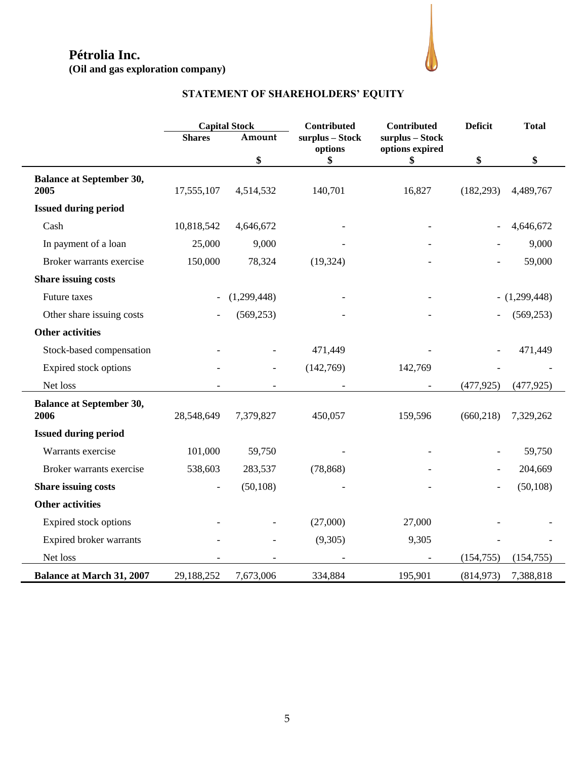# **Pétrolia Inc.**

**(Oil and gas exploration company)**



# **STATEMENT OF SHAREHOLDERS' EQUITY**

|                                  | <b>Capital Stock</b> |             | <b>Contributed</b> | Contributed           |                | <b>Total</b> |  |
|----------------------------------|----------------------|-------------|--------------------|-----------------------|----------------|--------------|--|
|                                  | <b>Shares</b>        | Amount      | surplus - Stock    | surplus - Stock       |                |              |  |
|                                  |                      | \$          | options<br>\$      | options expired<br>\$ | \$             | \$           |  |
| <b>Balance at September 30,</b>  |                      |             |                    |                       |                |              |  |
| 2005                             | 17,555,107           | 4,514,532   | 140,701            | 16,827                | (182, 293)     | 4,489,767    |  |
| <b>Issued during period</b>      |                      |             |                    |                       |                |              |  |
| Cash                             | 10,818,542           | 4,646,672   |                    |                       |                | 4,646,672    |  |
| In payment of a loan             | 25,000               | 9,000       |                    |                       |                | 9,000        |  |
| Broker warrants exercise         | 150,000              | 78,324      | (19, 324)          |                       |                | 59,000       |  |
| <b>Share issuing costs</b>       |                      |             |                    |                       |                |              |  |
| Future taxes                     |                      | (1,299,448) |                    |                       |                | (1,299,448)  |  |
| Other share issuing costs        |                      | (569, 253)  |                    |                       |                | (569, 253)   |  |
| <b>Other activities</b>          |                      |             |                    |                       |                |              |  |
| Stock-based compensation         |                      |             | 471,449            |                       |                | 471,449      |  |
| Expired stock options            |                      |             | (142,769)          | 142,769               |                |              |  |
| Net loss                         |                      |             |                    |                       | (477, 925)     | (477, 925)   |  |
| <b>Balance at September 30,</b>  |                      |             |                    |                       |                |              |  |
| 2006                             | 28,548,649           | 7,379,827   | 450,057            | 159,596               | (660, 218)     | 7,329,262    |  |
| <b>Issued during period</b>      |                      |             |                    |                       |                |              |  |
| Warrants exercise                | 101,000              | 59,750      |                    |                       | $\blacksquare$ | 59,750       |  |
| Broker warrants exercise         | 538,603              | 283,537     | (78, 868)          |                       |                | 204,669      |  |
| Share issuing costs              |                      | (50, 108)   |                    |                       |                | (50, 108)    |  |
| <b>Other activities</b>          |                      |             |                    |                       |                |              |  |
| Expired stock options            |                      |             | (27,000)           | 27,000                |                |              |  |
| Expired broker warrants          |                      |             | (9,305)            | 9,305                 |                |              |  |
| Net loss                         |                      |             |                    |                       | (154, 755)     | (154, 755)   |  |
| <b>Balance at March 31, 2007</b> | 29,188,252           | 7,673,006   | 334,884            | 195,901               | (814, 973)     | 7,388,818    |  |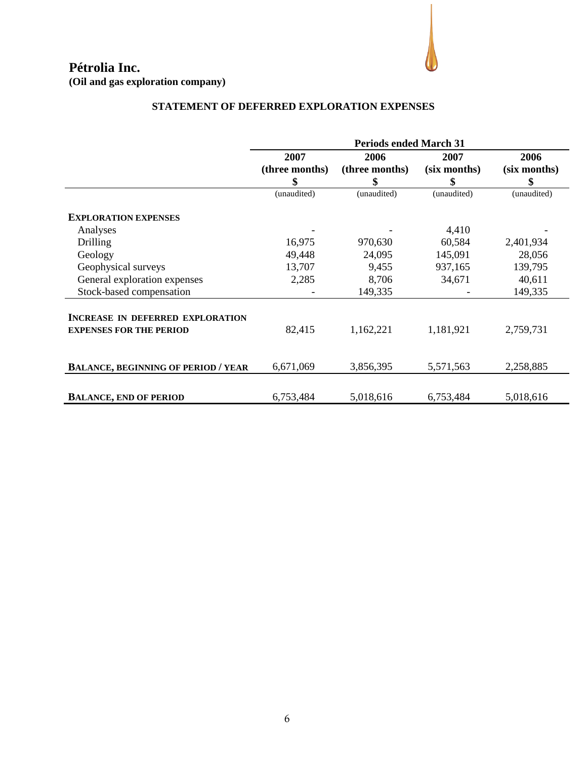

## **STATEMENT OF DEFERRED EXPLORATION EXPENSES**

|                                                                           | <b>Periods ended March 31</b> |                |              |              |  |
|---------------------------------------------------------------------------|-------------------------------|----------------|--------------|--------------|--|
|                                                                           | 2007                          | 2006           | 2007         | 2006         |  |
|                                                                           | (three months)                | (three months) | (six months) | (six months) |  |
|                                                                           | \$                            | \$             | \$           | \$           |  |
|                                                                           | (unaudited)                   | (unaudited)    | (unaudited)  | (unaudited)  |  |
| <b>EXPLORATION EXPENSES</b>                                               |                               |                |              |              |  |
| Analyses                                                                  |                               |                | 4,410        |              |  |
| Drilling                                                                  | 16,975                        | 970,630        | 60,584       | 2,401,934    |  |
| Geology                                                                   | 49,448                        | 24,095         | 145,091      | 28,056       |  |
| Geophysical surveys                                                       | 13,707                        | 9,455          | 937,165      | 139,795      |  |
| General exploration expenses                                              | 2,285                         | 8,706          | 34,671       | 40,611       |  |
| Stock-based compensation                                                  |                               | 149,335        |              | 149,335      |  |
| <b>INCREASE IN DEFERRED EXPLORATION</b><br><b>EXPENSES FOR THE PERIOD</b> | 82,415                        | 1,162,221      | 1,181,921    | 2,759,731    |  |
| <b>BALANCE, BEGINNING OF PERIOD / YEAR</b>                                | 6,671,069                     | 3,856,395      | 5,571,563    | 2,258,885    |  |
| <b>BALANCE, END OF PERIOD</b>                                             | 6,753,484                     | 5,018,616      | 6,753,484    | 5,018,616    |  |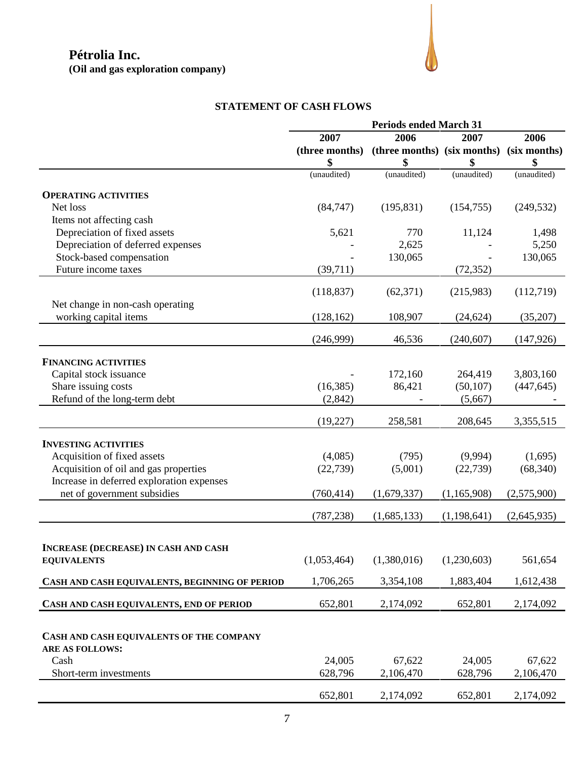## **STATEMENT OF CASH FLOWS**

|                                                | <b>Periods ended March 31</b> |                                          |               |             |
|------------------------------------------------|-------------------------------|------------------------------------------|---------------|-------------|
|                                                | 2007                          | 2006                                     | 2007          | 2006        |
|                                                | (three months)                | (three months) (six months) (six months) |               |             |
|                                                | \$                            | \$                                       | \$            | \$          |
|                                                | (unaudited)                   | (unaudited)                              | (unaudited)   | (unaudited) |
|                                                |                               |                                          |               |             |
| <b>OPERATING ACTIVITIES</b>                    |                               |                                          |               |             |
| Net loss                                       | (84, 747)                     | (195, 831)                               | (154, 755)    | (249, 532)  |
| Items not affecting cash                       |                               |                                          |               |             |
| Depreciation of fixed assets                   | 5,621                         | 770                                      | 11,124        | 1,498       |
| Depreciation of deferred expenses              |                               | 2,625                                    |               | 5,250       |
| Stock-based compensation                       |                               | 130,065                                  |               | 130,065     |
| Future income taxes                            | (39,711)                      |                                          | (72, 352)     |             |
|                                                |                               |                                          |               |             |
|                                                | (118, 837)                    | (62, 371)                                | (215,983)     | (112,719)   |
| Net change in non-cash operating               |                               |                                          |               |             |
| working capital items                          | (128, 162)                    | 108,907                                  | (24, 624)     | (35,207)    |
|                                                |                               |                                          |               |             |
|                                                | (246,999)                     | 46,536                                   | (240, 607)    | (147, 926)  |
|                                                |                               |                                          |               |             |
| <b>FINANCING ACTIVITIES</b>                    |                               |                                          |               |             |
| Capital stock issuance                         |                               | 172,160                                  | 264,419       | 3,803,160   |
| Share issuing costs                            | (16, 385)                     | 86,421                                   | (50, 107)     | (447, 645)  |
| Refund of the long-term debt                   | (2, 842)                      |                                          | (5,667)       |             |
|                                                |                               |                                          |               |             |
|                                                | (19,227)                      | 258,581                                  | 208,645       | 3,355,515   |
| <b>INVESTING ACTIVITIES</b>                    |                               |                                          |               |             |
| Acquisition of fixed assets                    | (4,085)                       | (795)                                    | (9,994)       | (1,695)     |
| Acquisition of oil and gas properties          | (22, 739)                     | (5,001)                                  | (22, 739)     | (68, 340)   |
| Increase in deferred exploration expenses      |                               |                                          |               |             |
| net of government subsidies                    | (760, 414)                    |                                          |               | (2,575,900) |
|                                                |                               | (1,679,337)                              | (1,165,908)   |             |
|                                                | (787, 238)                    | (1,685,133)                              | (1, 198, 641) | (2,645,935) |
|                                                |                               |                                          |               |             |
|                                                |                               |                                          |               |             |
| <b>INCREASE (DECREASE) IN CASH AND CASH</b>    |                               |                                          |               |             |
| <b>EQUIVALENTS</b>                             | (1,053,464)                   | (1,380,016)                              | (1,230,603)   | 561,654     |
| CASH AND CASH EQUIVALENTS, BEGINNING OF PERIOD | 1,706,265                     | 3,354,108                                | 1,883,404     | 1,612,438   |
|                                                |                               |                                          |               |             |
| CASH AND CASH EQUIVALENTS, END OF PERIOD       | 652,801                       | 2,174,092                                | 652,801       | 2,174,092   |
|                                                |                               |                                          |               |             |
| CASH AND CASH EQUIVALENTS OF THE COMPANY       |                               |                                          |               |             |
|                                                |                               |                                          |               |             |
| <b>ARE AS FOLLOWS:</b>                         |                               |                                          |               |             |
| Cash                                           | 24,005                        | 67,622                                   | 24,005        | 67,622      |
| Short-term investments                         | 628,796                       | 2,106,470                                | 628,796       | 2,106,470   |
|                                                | 652,801                       | 2,174,092                                | 652,801       | 2,174,092   |